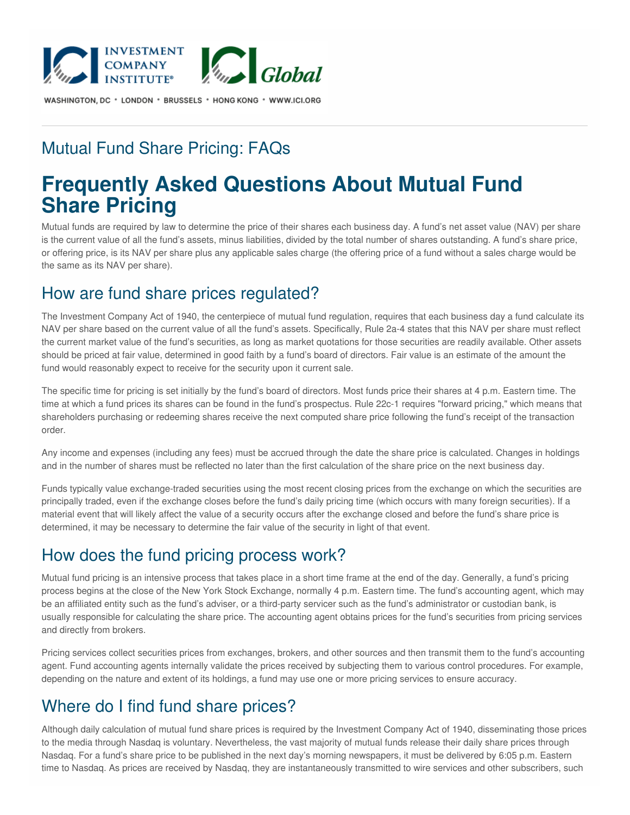

WASHINGTON, DC \* LONDON \* BRUSSELS \* HONG KONG \* WWW.ICI.ORG

## Mutual Fund Share Pricing: FAQs

# **Frequently Asked Questions About Mutual Fund Share Pricing**

Mutual funds are required by law to determine the price of their shares each business day. A fund's net asset value (NAV) per share is the current value of all the fund's assets, minus liabilities, divided by the total number of shares outstanding. A fund's share price, or offering price, is its NAV per share plus any applicable sales charge (the offering price of a fund without a sales charge would be the same as its NAV per share).

#### How are fund share prices regulated?

The Investment Company Act of 1940, the centerpiece of mutual fund regulation, requires that each business day a fund calculate its NAV per share based on the current value of all the fund's assets. Specifically, Rule 2a-4 states that this NAV per share must reflect the current market value of the fund's securities, as long as market quotations for those securities are readily available. Other assets should be priced at fair value, determined in good faith by a fund's board of directors. Fair value is an estimate of the amount the fund would reasonably expect to receive for the security upon it current sale.

The specific time for pricing is set initially by the fund's board of directors. Most funds price their shares at 4 p.m. Eastern time. The time at which a fund prices its shares can be found in the fund's prospectus. Rule 22c-1 requires "forward pricing," which means that shareholders purchasing or redeeming shares receive the next computed share price following the fund's receipt of the transaction order.

Any income and expenses (including any fees) must be accrued through the date the share price is calculated. Changes in holdings and in the number of shares must be reflected no later than the first calculation of the share price on the next business day.

Funds typically value exchange-traded securities using the most recent closing prices from the exchange on which the securities are principally traded, even if the exchange closes before the fund's daily pricing time (which occurs with many foreign securities). If a material event that will likely affect the value of a security occurs after the exchange closed and before the fund's share price is determined, it may be necessary to determine the fair value of the security in light of that event.

## How does the fund pricing process work?

Mutual fund pricing is an intensive process that takes place in a short time frame at the end of the day. Generally, a fund's pricing process begins at the close of the New York Stock Exchange, normally 4 p.m. Eastern time. The fund's accounting agent, which may be an affiliated entity such as the fund's adviser, or a third-party servicer such as the fund's administrator or custodian bank, is usually responsible for calculating the share price. The accounting agent obtains prices for the fund's securities from pricing services and directly from brokers.

Pricing services collect securities prices from exchanges, brokers, and other sources and then transmit them to the fund's accounting agent. Fund accounting agents internally validate the prices received by subjecting them to various control procedures. For example, depending on the nature and extent of its holdings, a fund may use one or more pricing services to ensure accuracy.

## Where do I find fund share prices?

Although daily calculation of mutual fund share prices is required by the Investment Company Act of 1940, disseminating those prices to the media through Nasdaq is voluntary. Nevertheless, the vast majority of mutual funds release their daily share prices through Nasdaq. For a fund's share price to be published in the next day's morning newspapers, it must be delivered by 6:05 p.m. Eastern time to Nasdaq. As prices are received by Nasdaq, they are instantaneously transmitted to wire services and other subscribers, such